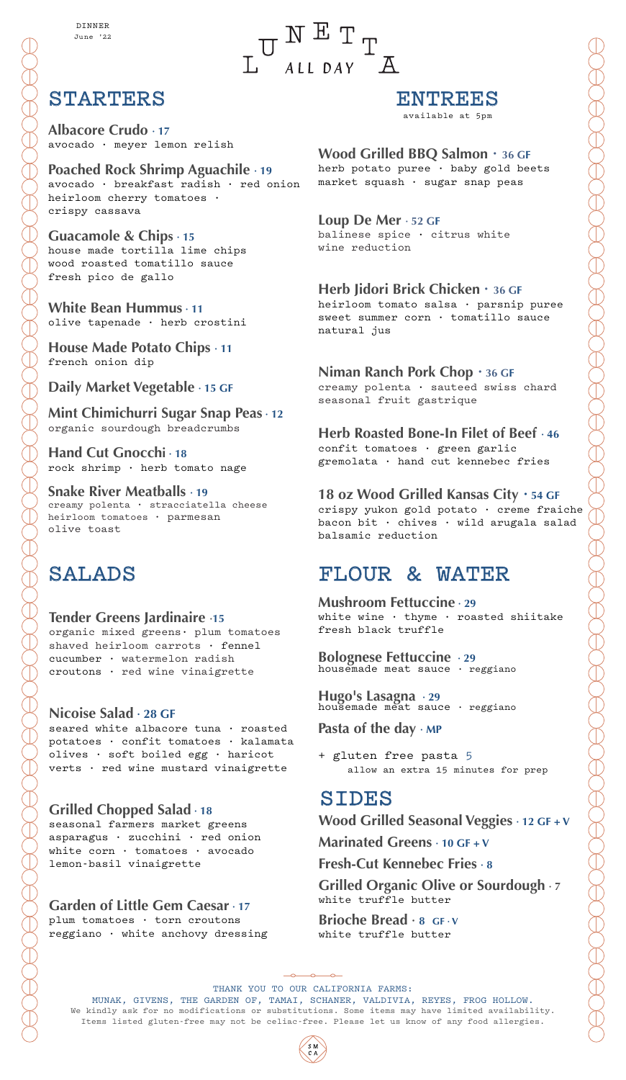## STARTERS

**Albacore Crudo · 17** avocado · meyer lemon relish

**Poached Rock Shrimp Aguachile · 19**  avocado · breakfast radish · red onion heirloom cherry tomatoes · crispy cassava

**Guacamole & Chips · 15** house made tortilla lime chips wood roasted tomatillo sauce fresh pico de gallo

**White Bean Hummus · 11** olive tapenade · herb crostini

**House Made Potato Chips · 11** french onion dip

**Daily Market Vegetable · 15 GF** 

**Mint Chimichurri Sugar Snap Peas · 12** organic sourdough breadcrumbs

**Hand Cut Gnocchi · 18**  rock shrimp · herb tomato nage

**Snake River Meatballs · 19** creamy polenta · stracciatella cheese heirloom tomatoes · parmesan olive toast

## SALADS

**Tender Greens Jardinaire ·15** organic mixed greens· plum tomatoes shaved heirloom carrots · fennel cucumber · watermelon radish croutons · red wine vinaigrette

### **Nicoise Salad · 28 GF**

seared white albacore tuna · roasted potatoes · confit tomatoes · kalamata olives · soft boiled egg · haricot verts · red wine mustard vinaigrette

## **Grilled Chopped Salad · 18** seasonal farmers market greens

asparagus · zucchini · red onion white corn · tomatoes · avocado lemon-basil vinaigrette

### **Garden of Little Gem Caesar · 17**

plum tomatoes · torn croutons reggiano · white anchovy dressing

## ENTREES

available at 5pm

### **Wood Grilled BBQ Salmon · 36 GF**

herb potato puree · baby gold beets market squash · sugar snap peas

### **Loup De Mer · 52 GF**

 $\underset{A\text{ LL }DAY}{\text{T}}\overset{\text{H}}{\longrightarrow}\underset{\text{AL}}{\text{T}}\underset{\text{A}}{\text{T}}$ 

balinese spice · citrus white wine reduction

### **Herb Jidori Brick Chicken · 36 GF**

heirloom tomato salsa · parsnip puree sweet summer corn · tomatillo sauce natural jus

### **Niman Ranch Pork Chop · 36 GF**

creamy polenta · sauteed swiss chard seasonal fruit gastrique

### **Herb Roasted Bone-In Filet of Beef · 46** confit tomatoes · green garlic

gremolata · hand cut kennebec fries

### **18 oz Wood Grilled Kansas City · 54 GF**

crispy yukon gold potato · creme fraiche bacon bit · chives · wild arugala salad balsamic reduction

## FLOUR & WATER

**Mushroom Fettuccine · 29** white wine · thyme · roasted shiitake fresh black truffle

**Bolognese Fettuccine · 29** housemade meat sauce · reggiano

**Hugo's Lasagna · 29** housemade meat sauce · reggiano

**Pasta of the day · MP**

+ gluten free pasta 5 allow an extra 15 minutes for prep

## SIDES

**Wood Grilled Seasonal Veggies · 12 GF + V Marinated Greens · 10 GF + V**

**Fresh-Cut Kennebec Fries · 8**

**Grilled Organic Olive or Sourdough · 7** white truffle butter

**Brioche Bread · 8 GF · V**  white truffle butter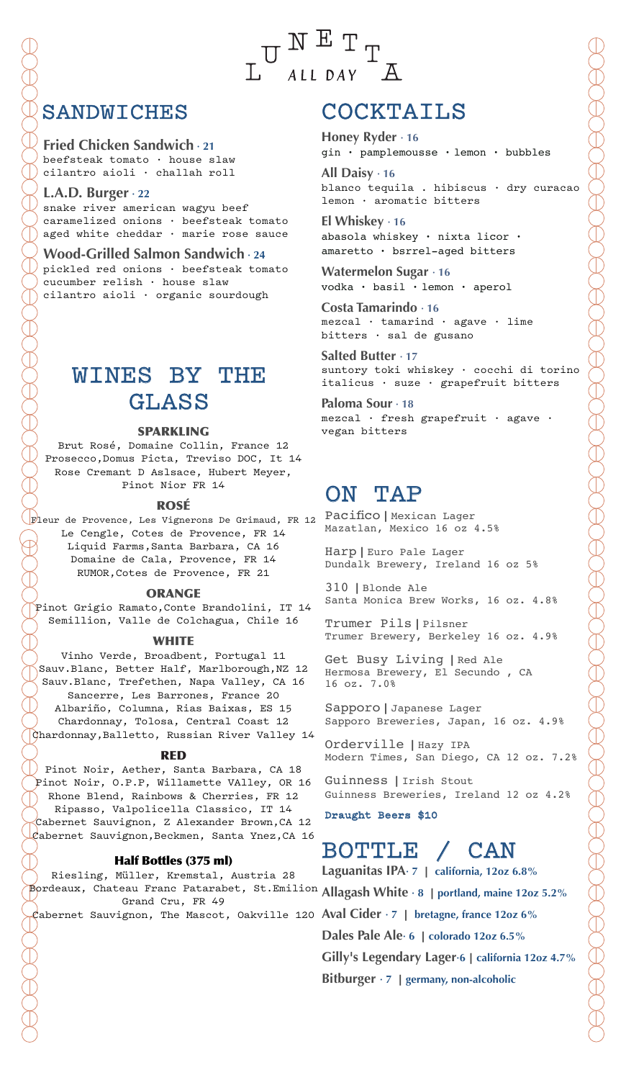**Fried Chicken Sandwich · 21** beefsteak tomato · house slaw cilantro aioli · challah roll

**L.A.D. Burger · 22** snake river american wagyu beef caramelized onions · beefsteak tomato aged white cheddar · marie rose sauce

**Wood-Grilled Salmon Sandwich · 24** pickled red onions · beefsteak tomato cucumber relish · house slaw cilantro aioli · organic sourdough

## WINES BY THE GLASS

### SPARKLING

Brut Rosé, Domaine Collin, France 12 Prosecco,Domus Picta, Treviso DOC, It 14 Rose Cremant D Aslsace, Hubert Meyer, Pinot Nior FR 14

#### ROSÉ

pleur de Provence, Les Vignerons De Grimaud, FR 12 PacificO | Mexican Lager Le Cengle, Cotes de Provence, FR 14 Liquid Farms,Santa Barbara, CA 16 Domaine de Cala, Provence, FR 14 RUMOR,Cotes de Provence, FR 21

#### ORANGE

Pinot Grigio Ramato,Conte Brandolini, IT 14 Semillion, Valle de Colchagua, Chile 16

#### WHITE

Vinho Verde, Broadbent, Portugal 11 Sauv.Blanc, Better Half, Marlborough,NZ 12 Sauv.Blanc, Trefethen, Napa Valley, CA 16 Sancerre, Les Barrones, France 20

Albariño, Columna, Rias Baixas, ES 15 Chardonnay, Tolosa, Central Coast 12 Chardonnay,Balletto, Russian River Valley 14

#### RED

Pinot Noir, Aether, Santa Barbara, CA 18 Pinot Noir, O.P.P, Willamette VAlley, OR 16 Rhone Blend, Rainbows & Cherries, FR 12 Ripasso, Valpolicella Classico, IT 14 Cabernet Sauvignon, Z Alexander Brown,CA 12 Cabernet Sauvignon,Beckmen, Santa Ynez,CA 16

#### Half Bottles (375 ml)

Riesling, Müller, Kremstal, Austria 28 Bordeaux, Chateau Franc Patarabet, St.Emilion **Allagash White · 8** ︱**portland, maine 12oz 5.2%** Grand Cru, FR 49

## COCKTAILS

 $\overline{A}$ 

 $U$ NETT

ALL DAY

**Honey Ryder · 16** gin · pamplemousse · lemon · bubbles

**All Daisy · 16** blanco tequila . hibiscus · dry curacao lemon · aromatic bitters

**El Whiskey · 16** abasola whiskey · nixta licor · amaretto · bsrrel-aged bitters

**Watermelon Sugar · 16** vodka · basil · lemon · aperol

**Costa Tamarindo · 16**  $mezca1$  · tamarind · agave · lime bitters · sal de gusano

**Salted Butter · 17** suntory toki whiskey · cocchi di torino italicus · suze · grapefruit bitters

**Paloma Sour · 18** mezcal · fresh grapefruit · agave · vegan bitters

## ON TAP

Mazatlan, Mexico 16 oz 4.5%

Harp | Euro Pale Lager Dundalk Brewery, Ireland 16 oz 5%

310 | Blonde Ale Santa Monica Brew Works, 16 oz. 4.8%

Trumer Pils | Pilsner Trumer Brewery, Berkeley 16 oz. 4.9%

Get Busy Living | Red Ale Hermosa Brewery, El Secundo , CA 16 oz. 7.0%

Sapporo | Japanese Lager Sapporo Breweries, Japan, 16 oz. 4.9%

Orderville | Hazy IPA Modern Times, San Diego, CA 12 oz. 7.2%

Guinness | Irish Stout Guinness Breweries, Ireland 12 oz 4.2%

Draught Beers \$10

## BOTTLE / CAN

Cabernet Sauvignon, The Mascot, Oakville 120 **Aval Cider · 7** ︱ **bretagne, france 12oz 6% Laguanitas IPA· 7** ︱ **california, 12oz 6.8% Dales Pale Ale· 6** ︱**colorado 12oz 6.5% Gilly's Legendary Lager·6**︱**california 12oz 4.7% Bitburger**  $\cdot$  7 | germany, non-alcoholic